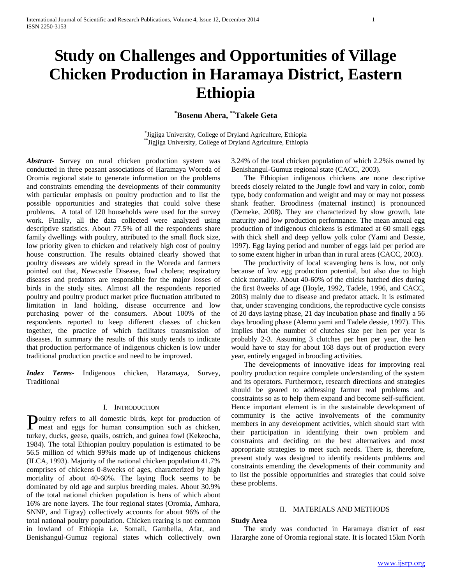# **Study on Challenges and Opportunities of Village Chicken Production in Haramaya District, Eastern Ethiopia**

**\*Bosenu Abera, \*\*Takele Geta**

\* Jigjiga University, College of Dryland Agriculture, Ethiopia \*\*Jigjiga University, College of Dryland Agriculture, Ethiopia

*Abstract***-** Survey on rural chicken production system was conducted in three peasant associations of Haramaya Woreda of Oromia regional state to generate information on the problems and constraints emending the developments of their community with particular emphasis on poultry production and to list the possible opportunities and strategies that could solve these problems. A total of 120 households were used for the survey work. Finally, all the data collected were analyzed using descriptive statistics. About 77.5% of all the respondents share family dwellings with poultry, attributed to the small flock size, low priority given to chicken and relatively high cost of poultry house construction. The results obtained clearly showed that poultry diseases are widely spread in the Woreda and farmers pointed out that, Newcastle Disease, fowl cholera; respiratory diseases and predators are responsible for the major losses of birds in the study sites. Almost all the respondents reported poultry and poultry product market price fluctuation attributed to limitation in land holding, disease occurrence and low purchasing power of the consumers. About 100% of the respondents reported to keep different classes of chicken together, the practice of which facilitates transmission of diseases. In summary the results of this study tends to indicate that production performance of indigenous chicken is low under traditional production practice and need to be improved.

*Index Terms*- Indigenous chicken, Haramaya, Survey, Traditional

# I. INTRODUCTION

oultry refers to all domestic birds, kept for production of Poultry refers to all domestic birds, kept for production of meat and eggs for human consumption such as chicken, turkey, ducks, geese, quails, ostrich, and guinea fowl (Kekeocha, 1984). The total Ethiopian poultry population is estimated to be 56.5 million of which 99%is made up of indigenous chickens (ILCA, 1993). Majority of the national chicken population 41.7% comprises of chickens 0-8weeks of ages, characterized by high mortality of about 40-60%. The laying flock seems to be dominated by old age and surplus breeding males. About 30.9% of the total national chicken population is hens of which about 16% are none layers. The four regional states (Oromia, Amhara, SNNP, and Tigray) collectively accounts for about 96% of the total national poultry population. Chicken rearing is not common in lowland of Ethiopia i.e. Somali, Gambella, Afar, and Benishangul-Gumuz regional states which collectively own

3.24% of the total chicken population of which 2.2%is owned by Benishangul-Gumuz regional state (CACC, 2003).

 The Ethiopian indigenous chickens are none descriptive breeds closely related to the Jungle fowl and vary in color, comb type, body conformation and weight and may or may not possess shank feather. Broodiness (maternal instinct) is pronounced (Demeke, 2008). They are characterized by slow growth, late maturity and low production performance. The mean annual egg production of indigenous chickens is estimated at 60 small eggs with thick shell and deep yellow yolk color (Yami and Dessie, 1997). Egg laying period and number of eggs laid per period are to some extent higher in urban than in rural areas (CACC, 2003).

 The productivity of local scavenging hens is low, not only because of low egg production potential, but also due to high chick mortality. About 40-60% of the chicks hatched dies during the first 8weeks of age (Hoyle, 1992, Tadele, 1996, and CACC, 2003) mainly due to disease and predator attack. It is estimated that, under scavenging conditions, the reproductive cycle consists of 20 days laying phase, 21 day incubation phase and finally a 56 days brooding phase (Alemu yami and Tadele dessie, 1997). This implies that the number of clutches size per hen per year is probably 2-3. Assuming 3 clutches per hen per year, the hen would have to stay for about 168 days out of production every year, entirely engaged in brooding activities.

 The developments of innovative ideas for improving real poultry production require complete understanding of the system and its operators. Furthermore, research directions and strategies should be geared to addressing farmer real problems and constraints so as to help them expand and become self-sufficient. Hence important element is in the sustainable development of community is the active involvements of the community members in any development activities, which should start with their participation in identifying their own problem and constraints and deciding on the best alternatives and most appropriate strategies to meet such needs. There is, therefore, present study was designed to identify residents problems and constraints emending the developments of their community and to list the possible opportunities and strategies that could solve these problems.

# II. MATERIALS AND METHODS

#### **Study Area**

 The study was conducted in Haramaya district of east Hararghe zone of Oromia regional state. It is located 15km North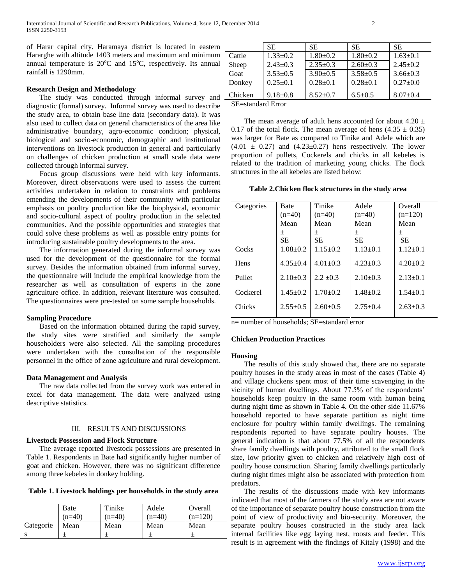of Harar capital city. Haramaya district is located in eastern Hararghe with altitude 1403 meters and maximum and minimum annual temperature is  $20^{\circ}$ C and  $15^{\circ}$ C, respectively. Its annual rainfall is 1290mm.

# **Research Design and Methodology**

The study was conducted through informal survey and  $$ diagnostic (formal) survey. Informal survey was used to describe the study area, to obtain base line data (secondary data). It was also used to collect data on general characteristics of the area like administrative boundary, agro-economic condition; physical, biological and socio-economic, demographic and institutional interventions on livestock production in general and particularly on challenges of chicken production at small scale data were collected through informal survey.

 Focus group discussions were held with key informants. Moreover, direct observations were used to assess the current activities undertaken in relation to constraints and problems emending the developments of their community with particular emphasis on poultry production like the biophysical, economic and socio-cultural aspect of poultry production in the selected communities. And the possible opportunities and strategies that could solve these problems as well as possible entry points for introducing sustainable poultry developments to the area.

 The information generated during the informal survey was used for the development of the questionnaire for the formal survey. Besides the information obtained from informal survey, the questionnaire will include the empirical knowledge from the researcher as well as consultation of experts in the zone agriculture office. In addition, relevant literature was consulted. The questionnaires were pre-tested on some sample households.

# **Sampling Procedure**

 Based on the information obtained during the rapid survey, the study sites were stratified and similarly the sample householders were also selected. All the sampling procedures were undertaken with the consultation of the responsible personnel in the office of zone agriculture and rural development.

# **Data Management and Analysis**

 The raw data collected from the survey work was entered in excel for data management. The data were analyzed using descriptive statistics.

# III. RESULTS AND DISCUSSIONS

# **Livestock Possession and Flock Structure**

 The average reported livestock possessions are presented in Table 1. Respondents in Bate had significantly higher number of goat and chicken. However, there was no significant difference among three kebeles in donkey holding.

| Table 1. Livestock holdings per households in the study area |  |  |  |  |  |  |  |  |
|--------------------------------------------------------------|--|--|--|--|--|--|--|--|
|--------------------------------------------------------------|--|--|--|--|--|--|--|--|

|           | Bate     | Tinike   | Adele    | Overall   |
|-----------|----------|----------|----------|-----------|
|           | $(n=40)$ | $(n=40)$ | $(n=40)$ | $(n=120)$ |
| Categorie | Mean     | Mean     | Mean     | Mean      |
|           |          |          |          |           |

|                                  | <b>SE</b>      | SE.            | <b>SE</b>      | <b>SE</b>      |
|----------------------------------|----------------|----------------|----------------|----------------|
| Cattle                           | $1.33 \pm 0.2$ | $1.80 \pm 0.2$ | $1.80 \pm 0.2$ | $1.63 \pm 0.1$ |
| Sheep                            | $2.43+0.3$     | $2.35+0.3$     | $2.60 \pm 0.3$ | $2.45+0.2$     |
| Goat                             | $3.53 \pm 0.5$ | $3.90 \pm 0.5$ | $3.58 \pm 0.5$ | $3.66 \pm 0.3$ |
| Donkey                           | $0.25 \pm 0.1$ | $0.28 + 0.1$   | $0.28 \pm 0.1$ | $0.27+0.0$     |
| Chicken                          | $9.18 \pm 0.8$ | $8.52 \pm 0.7$ | $6.5 \pm 0.5$  | $8.07 \pm 0.4$ |
| $\alpha_{\bf{E}}$ 1. 1. $\bf{E}$ |                |                |                |                |

SE=standard Error

The mean average of adult hens accounted for about 4.20  $\pm$ 0.17 of the total flock. The mean average of hens  $(4.35 \pm 0.35)$ was larger for Bate as compared to Tinike and Adele which are  $(4.01 \pm 0.27)$  and  $(4.23 \pm 0.27)$  hens respectively. The lower proportion of pullets, Cockerels and chicks in all kebeles is related to the tradition of marketing young chicks. The flock structures in the all kebeles are listed below:

**Table 2.Chicken flock structures in the study area**

| <b>Bate</b>    | Tinike         | Adele          | Overall        |
|----------------|----------------|----------------|----------------|
| $(n=40)$       | $(n=40)$       | $(n=40)$       | $(n=120)$      |
| Mean           | Mean           | Mean           | Mean           |
| 土              | 土              | 土              | 土              |
| SE.            | SE.            | SE.            | SE.            |
| $1.08 + 0.2$   | $1.15 \pm 0.2$ | $1.13 \pm 0.1$ | $1.12 \pm 0.1$ |
| $4.35 \pm 0.4$ | $4.01 \pm 0.3$ | $4.23 \pm 0.3$ | $4.20 \pm 0.2$ |
| $2.10+0.3$     | $2.2 + 0.3$    | $2.10+0.3$     | $2.13 \pm 0.1$ |
| $1.45 \pm 0.2$ | $1.70 \pm 0.2$ | $1.48 + 0.2$   | $1.54 + 0.1$   |
| $2.55+0.5$     | $2.60+0.5$     | $2.75+0.4$     | $2.63 \pm 0.3$ |
|                |                |                |                |

 $n=$  number of households; SE=standard error

# **Chicken Production Practices**

# **Housing**

 The results of this study showed that, there are no separate poultry houses in the study areas in most of the cases (Table 4) and village chickens spent most of their time scavenging in the vicinity of human dwellings. About 77.5% of the respondents' households keep poultry in the same room with human being during night time as shown in Table 4. On the other side 11.67% household reported to have separate partition as night time enclosure for poultry within family dwellings. The remaining respondents reported to have separate poultry houses. The general indication is that about 77.5% of all the respondents share family dwellings with poultry, attributed to the small flock size, low priority given to chicken and relatively high cost of poultry house construction. Sharing family dwellings particularly during night times might also be associated with protection from predators.

 The results of the discussions made with key informants indicated that most of the farmers of the study area are not aware of the importance of separate poultry house construction from the point of view of productivity and bio-security. Moreover, the separate poultry houses constructed in the study area lack internal facilities like egg laying nest, roosts and feeder. This result is in agreement with the findings of Kitaly (1998) and the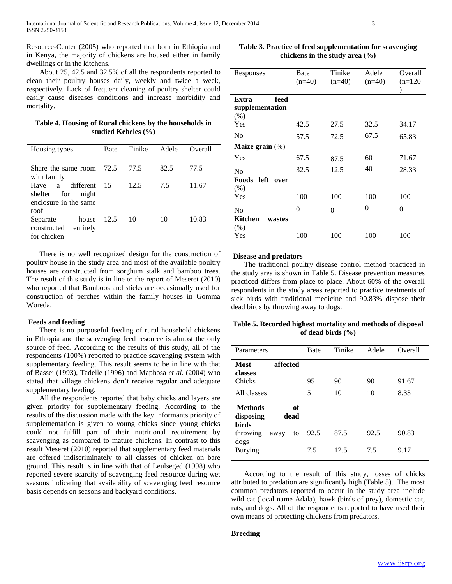Resource-Center (2005) who reported that both in Ethiopia and in Kenya, the majority of chickens are housed either in family dwellings or in the kitchens.

 About 25, 42.5 and 32.5% of all the respondents reported to clean their poultry houses daily, weekly and twice a week, respectively. Lack of frequent cleaning of poultry shelter could easily cause diseases conditions and increase morbidity and mortality.

| Table 4. Housing of Rural chickens by the households in |
|---------------------------------------------------------|
| studied Kebeles $(\% )$                                 |

| Housing types           | Bate | Tinike | Adele | Overall |
|-------------------------|------|--------|-------|---------|
|                         |      |        |       |         |
| Share the same room     | 72.5 | 77.5   | 82.5  | 77.5    |
| with family             |      |        |       |         |
| different<br>Have<br>a  | 15   | 12.5   | 75    | 11.67   |
| for<br>shelter<br>night |      |        |       |         |
| enclosure in the same   |      |        |       |         |
| roof                    |      |        |       |         |
| house<br>Separate       | 12.5 | 10     | 10    | 10.83   |
| constructed<br>entirely |      |        |       |         |
| for chicken             |      |        |       |         |

 There is no well recognized design for the construction of poultry house in the study area and most of the available poultry houses are constructed from sorghum stalk and bamboo trees. The result of this study is in line to the report of Meseret (2010) who reported that Bamboos and sticks are occasionally used for construction of perches within the family houses in Gomma Woreda.

#### **Feeds and feeding**

 There is no purposeful feeding of rural household chickens in Ethiopia and the scavenging feed resource is almost the only source of feed. According to the results of this study, all of the respondents (100%) reported to practice scavenging system with supplementary feeding. This result seems to be in line with that of Bassei (1993), Tadelle (1996) and Maphosa *et al*. (2004) who stated that village chickens don't receive regular and adequate supplementary feeding.

 All the respondents reported that baby chicks and layers are given priority for supplementary feeding. According to the results of the discussion made with the key informants priority of supplementation is given to young chicks since young chicks could not fulfill part of their nutritional requirement by scavenging as compared to mature chickens. In contrast to this result Meseret (2010) reported that supplementary feed materials are offered indiscriminately to all classes of chicken on bare ground. This result is in line with that of Leulseged (1998) who reported severe scarcity of scavenging feed resource during wet seasons indicating that availability of scavenging feed resource basis depends on seasons and backyard conditions.

**Table 3. Practice of feed supplementation for scavenging chickens in the study area (%)**

| Responses          | Bate     | Tinike   | Adele    | Overall   |
|--------------------|----------|----------|----------|-----------|
|                    | $(n=40)$ | $(n=40)$ | $(n=40)$ | $(n=120)$ |
|                    |          |          |          |           |
| feed<br>Extra      |          |          |          |           |
| supplementation    |          |          |          |           |
| (% )               |          |          |          |           |
| Yes                | 42.5     | 27.5     | 32.5     | 34.17     |
| No                 | 57.5     | 72.5     | 67.5     | 65.83     |
| Maize grain $(\%)$ |          |          |          |           |
| Yes                | 67.5     | 87.5     | 60       | 71.67     |
| No                 | 32.5     | 12.5     | 40       | 28.33     |
| Foods left<br>over |          |          |          |           |
| (% )               |          |          |          |           |
| Yes                | 100      | 100      | 100      | 100       |
| N <sub>0</sub>     | 0        | 0        | 0        | $\theta$  |
| Kitchen<br>wastes  |          |          |          |           |
| (% )               |          |          |          |           |
| Yes                | 100      | 100      | 100      | 100       |

#### **Disease and predators**

 The traditional poultry disease control method practiced in the study area is shown in Table 5. Disease prevention measures practiced differs from place to place. About 60% of the overall respondents in the study areas reported to practice treatments of sick birds with traditional medicine and 90.83% dispose their dead birds by throwing away to dogs.

# **Table 5. Recorded highest mortality and methods of disposal of dead birds (%)**

| Parameters                                  |            | <b>Bate</b> | Tinike       | Adele       | Overall       |
|---------------------------------------------|------------|-------------|--------------|-------------|---------------|
| Most<br>classes<br>Chicks<br>All classes    | affected   | 95<br>5     | 90<br>10     | 90<br>10    | 91.67<br>8.33 |
| <b>Methods</b><br>disposing<br><b>birds</b> | оf<br>dead |             |              |             |               |
| throwing<br>dogs<br><b>Burying</b>          | away<br>to | 92.5<br>7.5 | 87.5<br>12.5 | 92.5<br>7.5 | 90.83<br>9.17 |

 According to the result of this study, losses of chicks attributed to predation are significantly high (Table 5). The most common predators reported to occur in the study area include wild cat (local name Adala), hawk (birds of prey), domestic cat, rats, and dogs. All of the respondents reported to have used their own means of protecting chickens from predators.

# **Breeding**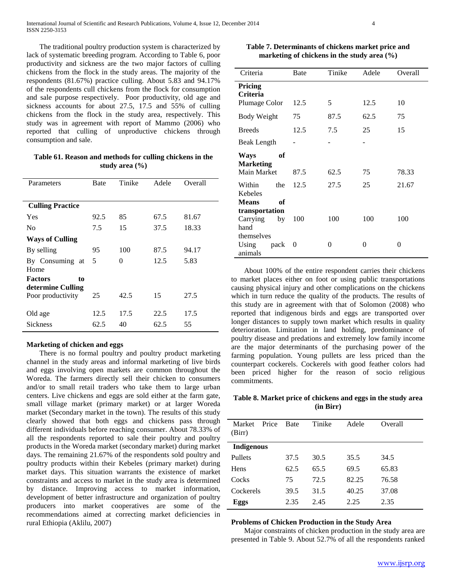The traditional poultry production system is characterized by lack of systematic breeding program. According to Table 6, poor productivity and sickness are the two major factors of culling chickens from the flock in the study areas. The majority of the respondents (81.67%) practice culling. About 5.83 and 94.17% of the respondents cull chickens from the flock for consumption and sale purpose respectively. Poor productivity, old age and sickness accounts for about 27.5, 17.5 and 55% of culling chickens from the flock in the study area, respectively. This study was in agreement with report of Mammo (2006) who reported that culling of unproductive chickens through consumption and sale.

**Table 61. Reason and methods for culling chickens in the study area (%)**

| Parameters              | Bate | Tinike | Adele | Overall |
|-------------------------|------|--------|-------|---------|
|                         |      |        |       |         |
| <b>Culling Practice</b> |      |        |       |         |
| Yes                     | 92.5 | 85     | 67.5  | 81.67   |
| N <sub>0</sub>          | 7.5  | 15     | 37.5  | 18.33   |
| <b>Ways of Culling</b>  |      |        |       |         |
| By selling              | 95   | 100    | 87.5  | 94.17   |
| By Consuming at<br>Home | 5    | 0      | 12.5  | 5.83    |
| <b>Factors</b><br>to    |      |        |       |         |
| determine Culling       |      |        |       |         |
| Poor productivity       | 25   | 42.5   | 15    | 27.5    |
| Old age                 | 12.5 | 17.5   | 22.5  | 17.5    |
|                         |      |        |       |         |
| <b>Sickness</b>         | 62.5 | 40     | 62.5  | 55      |

# **Marketing of chicken and eggs**

 There is no formal poultry and poultry product marketing channel in the study areas and informal marketing of live birds and eggs involving open markets are common throughout the Woreda. The farmers directly sell their chicken to consumers and/or to small retail traders who take them to large urban centers. Live chickens and eggs are sold either at the farm gate, small village market (primary market) or at larger Woreda market (Secondary market in the town). The results of this study clearly showed that both eggs and chickens pass through different individuals before reaching consumer. About 78.33% of all the respondents reported to sale their poultry and poultry products in the Woreda market (secondary market) during market days. The remaining 21.67% of the respondents sold poultry and poultry products within their Kebeles (primary market) during market days. This situation warrants the existence of market constraints and access to market in the study area is determined by distance. Improving access to market information, development of better infrastructure and organization of poultry producers into market cooperatives are some of the recommendations aimed at correcting market deficiencies in rural Ethiopia (Aklilu, 2007)

**Table 7. Determinants of chickens market price and marketing of chickens in the study area (%)**

| Criteria                                      | Bate     | Tinike | Adele | Overall |
|-----------------------------------------------|----------|--------|-------|---------|
| Pricing<br><b>Criteria</b>                    |          |        |       |         |
| Plumage Color                                 | 12.5     | 5      | 12.5  | 10      |
| <b>Body Weight</b>                            | 75       | 87.5   | 62.5  | 75      |
| <b>Breeds</b>                                 | 12.5     | 7.5    | 25    | 15      |
| <b>Beak Length</b>                            |          |        |       |         |
| оf<br>Ways<br><b>Marketing</b><br>Main Market | 87.5     | 62.5   | 75    | 78.33   |
| Within<br>the<br>Kebeles                      | 12.5     | 27.5   | 25    | 21.67   |
| <b>Means</b><br>оf                            |          |        |       |         |
| transportation                                |          |        |       |         |
| Carrying<br>by                                | 100      | 100    | 100   | 100     |
| hand                                          |          |        |       |         |
| themselves                                    |          |        |       |         |
| Using<br>pack<br>animals                      | $\theta$ | 0      | 0     | 0       |

 About 100% of the entire respondent carries their chickens to market places either on foot or using public transportations causing physical injury and other complications on the chickens which in turn reduce the quality of the products. The results of this study are in agreement with that of Solomon (2008) who reported that indigenous birds and eggs are transported over longer distances to supply town market which results in quality deterioration. Limitation in land holding, predominance of poultry disease and predations and extremely low family income are the major determinants of the purchasing power of the farming population. Young pullets are less priced than the counterpart cockerels. Cockerels with good feather colors had been priced higher for the reason of socio religious commitments.

**Table 8. Market price of chickens and eggs in the study area (in Birr)**

| Market<br>(Birr)  | Price | <b>Bate</b> | Tinike | Adele | Overall |
|-------------------|-------|-------------|--------|-------|---------|
| <b>Indigenous</b> |       |             |        |       |         |
| <b>Pullets</b>    |       | 37.5        | 30.5   | 35.5  | 34.5    |
| Hens              |       | 62.5        | 65.5   | 69.5  | 65.83   |
| Cocks             |       | 75          | 72.5   | 82.25 | 76.58   |
| Cockerels         |       | 39.5        | 31.5   | 40.25 | 37.08   |
| Eggs              |       | 2.35        | 2.45   | 2.25  | 2.35    |

# **Problems of Chicken Production in the Study Area**

 Major constraints of chicken production in the study area are presented in Table 9. About 52.7% of all the respondents ranked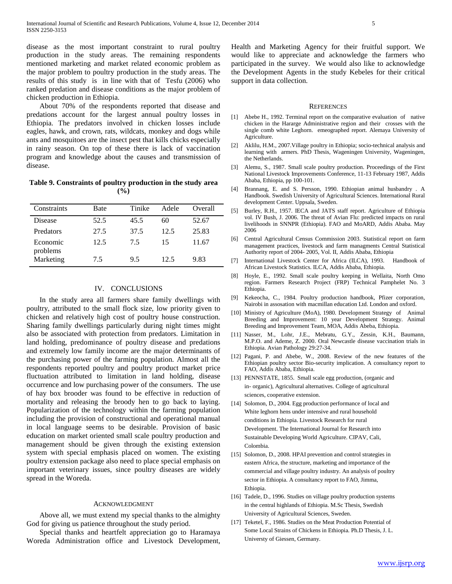disease as the most important constraint to rural poultry production in the study areas. The remaining respondents mentioned marketing and market related economic problem as the major problem to poultry production in the study areas. The results of this study is in line with that of Tesfu (2006) who ranked predation and disease conditions as the major problem of chicken production in Ethiopia.

 About 70% of the respondents reported that disease and predations account for the largest annual poultry losses in Ethiopia. The predators involved in chicken losses include eagles, hawk, and crown, rats, wildcats, monkey and dogs while ants and mosquitoes are the insect pest that kills chicks especially in rainy season. On top of these there is lack of vaccination program and knowledge about the causes and transmission of disease.

**Table 9. Constraints of poultry production in the study area (%)**

| Constraints          | Bate | Tinike | Adele | Overall |
|----------------------|------|--------|-------|---------|
| Disease              | 52.5 | 45.5   | 60    | 52.67   |
| Predators            | 27.5 | 37.5   | 12.5  | 25.83   |
| Economic<br>problems | 12.5 | 7.5    | 15    | 11.67   |
| Marketing            | 7.5  | 9.5    | 12.5  | 9.83    |

# IV. CONCLUSIONS

 In the study area all farmers share family dwellings with poultry, attributed to the small flock size, low priority given to chicken and relatively high cost of poultry house construction. Sharing family dwellings particularly during night times might also be associated with protection from predators. Limitation in land holding, predominance of poultry disease and predations and extremely low family income are the major determinants of the purchasing power of the farming population. Almost all the respondents reported poultry and poultry product market price fluctuation attributed to limitation in land holding, disease occurrence and low purchasing power of the consumers. The use of hay box brooder was found to be effective in reduction of mortality and releasing the broody hen to go back to laying. Popularization of the technology within the farming population including the provision of constructional and operational manual in local language seems to be desirable. Provision of basic education on market oriented small scale poultry production and management should be given through the existing extension system with special emphasis placed on women. The existing poultry extension package also need to place special emphasis on important veterinary issues, since poultry diseases are widely spread in the Woreda.

#### ACKNOWLEDGMENT

 Above all, we must extend my special thanks to the almighty God for giving us patience throughout the study period.

 Special thanks and heartfelt appreciation go to Haramaya Woreda Administration office and Livestock Development, Health and Marketing Agency for their fruitful support. We would like to appreciate and acknowledge the farmers who participated in the survey. We would also like to acknowledge the Development Agents in the study Kebeles for their critical support in data collection.

#### **REFERENCES**

- [1] Abebe H., 1992. Terminal report on the comparative evaluation of native chicken in the Hararge Administrative region and their crosses with the single comb white Leghorn. emeographed report. Alemaya University of Agriculture.
- [2] Aklilu, H.M., 2007.Village poultry in Ethiopia; socio-technical analysis and learning with armers. PhD Thesis, Wageningen University, Wageningen, the Netherlands.
- [3] Alemu, S., 1987. Small scale poultry production. Proceedings of the First National Livestock Improvements Conference, 11-13 February 1987, Addis Ababa, Ethiopia, pp 100-101.
- [4] Brannang, E. and S. Persson, 1990. Ethiopian animal husbandry . A Handbook. Swedish University of Agricultural Sciences. International Rural development Center. Uppsala, Sweden.
- [5] Burley, R.H., 1957. IECA and JATS staff report. Agriculture of Ethiopia vol. IV Bush, J. 2006. The threat of Avian Flu: predicted impacts on rural livelihoods in SNNPR (Ethiopia). FAO and MoARD, Addis Ababa. May 2006
- [6] Central Agricultural Census Commission 2003. Statistical report on farm management practices, livestock and farm managments Central Statistical Authority report of 2004- 2005, Vol. II, Addis Ababa, Ethiopia
- [7] International Livestock Center for Africa (ILCA), 1993. Handbook of African Livestock Statistics. ILCA, Addis Ababa, Ethiopia.
- [8] Hoyle, E., 1992. Small scale poultry keeping in Wellaita, North Omo region. Farmers Research Project (FRP) Technical Pamphelet No. 3 Ethiopia.
- [9] Kekeocha, C., 1984. Poultry production handbook, Pfizer corporation, Nairobi in assosation with macmillan education Ltd. London and oxford.
- [10] Ministry of Agriculture (MoA), 1980. Development Strategy of Animal Breeding and Improvement: 10 year Development Strategy. Animal Breeding and Improvement Team, MOA, Addis Abeba, Ethiopia.
- [11] Nasser, M., Lohr, J.E., Mebratu, G.Y., Zessin, K.H., Baumann, M.P.O. and Ademe, Z. 2000. Oral Newcastle disease vaccination trials in Ethiopia. Avian Pathology 29:27-34.
- [12] Pagani, P. and Abebe, W., 2008. Review of the new features of the Ethiopian poultry sector Bio-security implication. A consultancy report to FAO, Addis Ababa, Ethiopia.
- [13] PENNSTATE, 1855. Small scale egg production, (organic and in- organic), Agricultural alternatives. College of agricultural sciences, cooperative extension.
- [14] Solomon, D., 2004. Egg production performance of local and White leghorn hens under intensive and rural household conditions in Ethiopia. Livestock Research for rural Development. The International Journal for Research into Sustainable Developing World Agriculture. CIPAV, Cali, Colombia.
- [15] Solomon, D., 2008. HPAI prevention and control strategies in eastern Africa, the structure, marketing and importance of the commercial and village poultry industry. An analysis of poultry sector in Ethiopia. A consultancy report to FAO, Jimma, Ethiopia.
- [16] Tadele, D., 1996. Studies on village poultry production systems in the central highlands of Ethiopia. M.Sc Thesis, Swedish University of Agricultural Sciences, Sweden.
- [17] Teketel, F., 1986. Studies on the Meat Production Potential of Some Local Strains of Chickens in Ethiopia. Ph.D Thesis, J. L. Universty of Giessen, Germany.